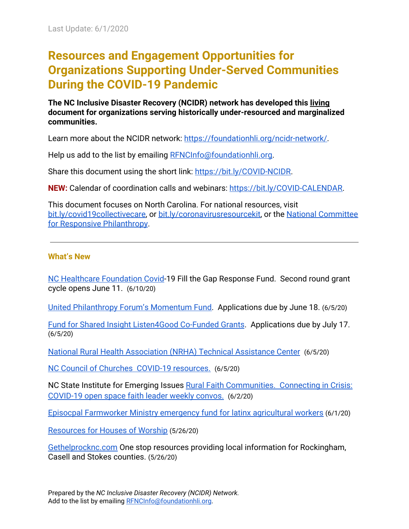# **Resources and Engagement Opportunities for Organizations Supporting Under-Served Communities During the COVID-19 Pandemic**

**The NC Inclusive Disaster Recovery (NCIDR) network has developed this living document for organizations serving historically under-resourced and marginalized communities.**

Learn more about the NCIDR network: [https://foundationhli.org/ncidr-network/.](https://foundationhli.org/ncidr-network/)

Help us add to the list by emailing [RFNCInfo@foundationhli.org.](mailto:RFNCInfo@foundationhli.org)

Share this document using the short link: [https://bit.ly/COVID-NCIDR.](https://bit.ly/COVID-NCIDR)

**NEW:** Calendar of coordination calls and webinars: [https://bit.ly/COVID-CALENDAR.](https://bit.ly/COVID-CALENDAR)

This document focuses on North Carolina. For national resources, visit [bit.ly/covid19collectivecare](http://bit.ly/COVID19CollectiveCare), or [bit.ly/coronavirusresourcekit](http://bit.ly/coronavirusresourcekit), or the [National Committee](https://www.ncrp.org/blog/covid-19/covid-19-resources#1584756988605-a3ba2dbb-5c44) [for Responsive Philanthropy](https://www.ncrp.org/blog/covid-19/covid-19-resources#1584756988605-a3ba2dbb-5c44).

### **What's New**

[NC Healthcare Foundation Covid-](#page-4-0)19 Fill the Gap Response Fund. Second round grant cycle opens June 11. (6/10/20)

[United Philanthropy Forum's Momentum Fund.](https://www.unitedphilforum.org/momentum-fund) Applications due by June 18. (6/5/20)

[Fund for Shared Insight Listen4Good Co-Funded Grants](https://www.fundforsharedinsight.org/listen4good/for-nonprofits/). Applications due by July 17. (6/5/20)

[National Rural Health Association \(NRHA\) Technical Assistance Center](#page-1-0) (6/5/20)

[NC Council of Churches COVID-19 resources.](#page-8-0) (6/5/20)

NC State Institute for Emerging Issues [Rural Faith Communities. Connecting in Crisis:](#page-8-0) [COVID-19 open space faith leader weekly convos.](#page-8-0) (6/2/20)

[Episocpal Farmworker Ministry emergency fund for latinx agricultural workers](#page-5-0) (6/1/20)

[Resources for Houses of Worship](#page-8-0) (5/26/20)

[Gethelprocknc.com](https://gethelprocknc.com/) One stop resources providing local information for Rockingham, Casell and Stokes counties. (5/26/20)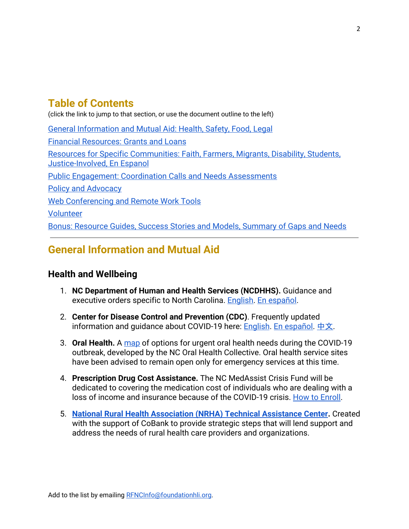# **Table of Contents**

(click the link to jump to that section, or use the document outline to the left)

[General Information and Mutual Aid:](#page-1-1) Health, Safety, Food, Legal [Financial Resources](#page-4-1): Grants and Loans [Resources for Specific Communities](#page-8-1): Faith, Farmers, Migrants, Disability, Students, Justice-Involved, En Espanol [Public Engagement:](#page-10-0) Coordination Calls and Needs Assessments [Policy and Advocacy](#page-11-0) [Web Conferencing and Remote Work Tools](#page-12-0) [Volunteer](#page-12-1) [Bonus: Resource Guides,](#page-13-0) Success Stories and Models, Summary of Gaps and Needs

# <span id="page-1-1"></span>**General Information and Mutual Aid**

## <span id="page-1-0"></span>**Health and Wellbeing**

- 1. **NC Department of Human and Health Services (NCDHHS).** Guidance and executive orders specific to North Carolina. [English.](http://ncdhhs.gov/coronavirus) [En español](https://www.ncdhhs.gov/divisions/public-health/coronavirus-disease-2019-covid-19-response-north-carolina/recursos-e).
- 2. **Center for Disease Control and Prevention (CDC)**. Frequently updated information and guidance about COVID-19 here: **[English.](https://www.cdc.gov/coronavirus/2019-nCoV/index.html) [En español.](https://www.cdc.gov/coronavirus/2019-ncov/index-sp.html)** [中文](https://www.cdc.gov/coronavirus/2019-ncov/index-Chinese.html).
- 3. **Oral Health.** A [map](https://oralhealthnc.org/covid-19/) of options for urgent oral health needs during the COVID-19 outbreak, developed by the NC Oral Health Collective. Oral health service sites have been advised to remain open only for emergency services at this time.
- 4. **Prescription Drug Cost Assistance.** The NC MedAssist Crisis Fund will be dedicated to covering the medication cost of individuals who are dealing with a loss of income and insurance because of the COVID-19 crisis.[How to Enroll](https://medassist.org/how-to-enroll/).
- 5. **[National Rural Health Association \(NRHA\) Technical Assistance Center](https://www.ruralhealthweb.org/programs/nrha-covid-19-technical-assistance-center?fbclid=IwAR00XcpJhXtgiWt_GuAv7KnA8_SgKWTxA_8Hk1QWAE7DqhuUItBEgRSjFYc).** Created with the support of CoBank to provide strategic steps that will lend support and address the needs of rural health care providers and organizations.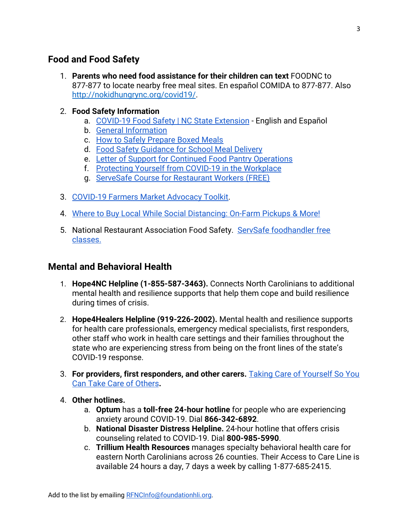## **Food and Food Safety**

1. **Parents who need food assistance for their children can text** FOODNC to 877-877 to locate nearby free meal sites. En español COMIDA to 877-877. Also <http://nokidhungrync.org/covid19/>.

#### 2. **Food Safety Information**

- a. [COVID-19 Food Safety | NC State Extension](https://foodsafety.ces.ncsu.edu/covid-19-resources/)  English and Español
- b. [General Information](https://ehs.ncpublichealth.com/docs/covid19/FoodSafetyFlyer-032020.pdf)
- c. [How to Safely Prepare Boxed Meals](https://ehs.ncpublichealth.com/docs/covid19/BoxedLunchGuidance.pdf)
- d. [Food Safety Guidance for School Meal Delivery](https://ehs.ncpublichealth.com/docs/covid19/DeliveryMealsFinal-032020.pdf)
- e. [Letter of Support for Continued Food Pantry Operations](https://foodsafety.ces.ncsu.edu/wp-content/uploads/2020/03/Open-letter-COVID-19-food-banks-3-17-20.pdf?fwd=no)
- f. [Protecting Yourself from COVID-19 in the Workplace](https://tools.niehs.nih.gov/wetp/index.cfm?id=2591)
- g. [ServeSafe Course for Restaurant Workers \(FREE\)](https://www.servsafe.com/Landing-Pages/Free-Courses)
- 3. [COVID-19 Farmers Market Advocacy Toolkit.](https://docs.google.com/document/d/1lV34JQ58fhtwioBYJ9TJx7MvrO6t8a39homfEYYYFh0/edit#heading=h.9jyytftyr1r0)
- 4. [Where to Buy Local While Social Distancing: On-Farm Pickups & More!](https://www.carolinafarmstewards.org/on-farm-pickups/)
- 5. National Restaurant Association Food Safety. [ServSafe foodhandler free](https://www.servsafe.com/Landing-Pages/Free-Courses) [classes.](https://www.servsafe.com/Landing-Pages/Free-Courses)

### **Mental and Behavioral Health**

- 1. **Hope4NC Helpline (1-855-587-3463).** Connects North Carolinians to additional mental health and resilience supports that help them cope and build resilience during times of crisis.
- 2. **Hope4Healers Helpline (919-226-2002).** Mental health and resilience supports for health care professionals, emergency medical specialists, first responders, other staff who work in health care settings and their families throughout the state who are experiencing stress from being on the front lines of the state's COVID-19 response.
- 3. **For providers, first responders, and other carers.** [Taking Care of Yourself So You](https://coeintegratedcare.org/wp-content/uploads/2020/04/COE-Taking-Care-of-Yourself.pdf) [Can Take Care of Others](https://coeintegratedcare.org/wp-content/uploads/2020/04/COE-Taking-Care-of-Yourself.pdf)**.**
- 4. **Other hotlines.**
	- a. **Optum** has a **toll-free 24-hour hotline** for people who are experiencing anxiety around COVID-19. Dial **866-342-6892**.
	- b. **National Disaster Distress Helpline.** 24-hour hotline that offers crisis counseling related to COVID-19. Dial **800-985-5990**.
	- c. **Trillium Health Resources** manages specialty behavioral health care for eastern North Carolinians across 26 counties. Their Access to Care Line is available 24 hours a day, 7 days a week by calling 1-877-685-2415.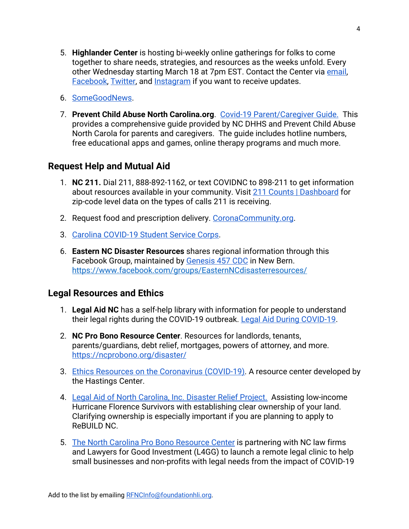- 5. **Highlander Center** is hosting bi-weekly online gatherings for folks to come together to share needs, strategies, and resources as the weeks unfold. Every other Wednesday starting March 18 at 7pm EST. Contact the Center via [email,](mailto:elizabeth@highlandcenter.org) [Facebook](https://protect-us.mimecast.com/s/U5SjCXDADvtnrV2F62hdM), [Twitter,](https://protect-us.mimecast.com/s/85l1CYEBEwt3BEMSGJ5Xz) and [Instagram](https://protect-us.mimecast.com/s/_SqfCZ6D6xSMBrlCKbULw) if you want to receive updates.
- 6. [SomeGoodNews](https://www.youtube.com/channel/UCOe_y6KKvS3PdIfb9q9pGug).
- 7. **Prevent Child Abuse North Carolina.org**. [Covid-19 Parent/Caregiver Guide.](https://www.preventchildabusenc.org/wp-content/uploads/2020/04/PCANC-COVID19-GUIDE.pdf) This provides a comprehensive guide provided by NC DHHS and Prevent Child Abuse North Carola for parents and caregivers. The guide includes hotline numbers, free educational apps and games, online therapy programs and much more.

## **Request Help and Mutual Aid**

- 1. **NC 211.** Dial 211, 888-892-1162, or text COVIDNC to 898-211 to get information about resources available in your community. Visit [211 Counts | Dashboard](https://nc.211counts.org/) for zip-code level data on the types of calls 211 is receiving.
- 2. Request food and prescription delivery. [CoronaCommunity.org.](https://www.coronacommunity.org/index.html#form)
- 3. [Carolina COVID-19 Student Service Corps.](http://go.unc.edu/ipep-cssc)
- 6. **Eastern NC Disaster Resources** shares regional information through this Facebook Group, maintained by [Genesis 457 CDC](https://www.peletahministries.com/genesis-457-cdc/) in New Bern. <https://www.facebook.com/groups/EasternNCdisasterresources/>

### **Legal Resources and Ethics**

- 1. **Legal Aid NC** has a self-help library with information for people to understand their legal rights during the COVID-19 outbreak. [Legal Aid During COVID-19](http://www.legalaidnc.org/get-help/self-help-library/disaster-relief/coronavirus-covid-19).
- 2. **NC Pro Bono Resource Center**. Resources for landlords, tenants, parents/guardians, debt relief, mortgages, powers of attorney, and more. <https://ncprobono.org/disaster/>
- 3. [Ethics Resources on the Coronavirus \(COVID-19\).](https://www.thehastingscenter.org/ethics-resources-on-the-coronavirus/) A resource center developed by the Hastings Center.
- 4. [Legal Aid of North Carolina, Inc. Disaster Relief Project.](https://drive.google.com/file/d/1DxLNGpTLwW63yeshcJpxhrWHbB3SCSCc/view?usp=sharing) Assisting low-income Hurricane Florence Survivors with establishing clear ownership of your land. Clarifying ownership is especially important if you are planning to apply to ReBUILD NC.
- 5. [The North Carolina Pro Bono Resource Center](https://drive.google.com/file/d/19yiKVZDrHeWFzX-Dg7bMMkYLy7YuQ4XR/view?usp=sharing) is partnering with NC law firms and Lawyers for Good Investment (L4GG) to launch a remote legal clinic to help small businesses and non-profits with legal needs from the impact of COVID-19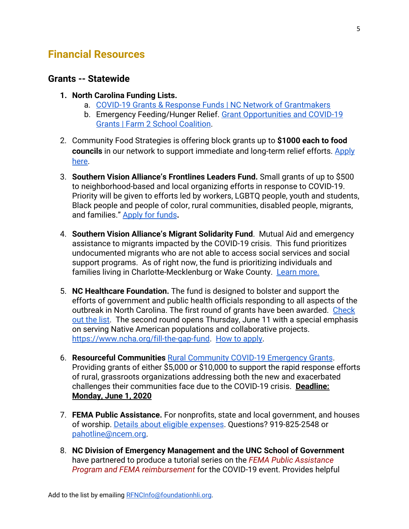## <span id="page-4-1"></span>**Financial Resources**

#### <span id="page-4-0"></span>**Grants -- Statewide**

- **1. North Carolina Funding Lists.**
	- a. [COVID-19 Grants & Response Funds | NC Network of Grantmakers](https://ncgrantmakers.org/COVID-19-Resources-3)
	- b. Emergency Feeding/Hunger Relief. [Grant Opportunities and COVID-19](https://docs.google.com/document/d/14qMYuXdofhaTrEbPJZ5enr_HC6lHgmP51b6lNmIAOzQ/) [Grants | Farm 2 School Coalition.](https://docs.google.com/document/d/14qMYuXdofhaTrEbPJZ5enr_HC6lHgmP51b6lNmIAOzQ/)
- 2. Community Food Strategies is offering block grants up to **\$1000 each to food councils** in our network to support immediate and long-term relief efforts. [Apply](https://communityfoodstrategies.org/2020/04/13/2020-covid-19-block-grants/) [here](https://communityfoodstrategies.org/2020/04/13/2020-covid-19-block-grants/).
- 3. **Southern Vision Alliance's Frontlines Leaders Fund.** Small grants of up to \$500 to neighborhood-based and local organizing efforts in response to COVID-19. Priority will be given to efforts led by workers, LGBTQ people, youth and students, Black people and people of color, rural communities, disabled people, migrants, and families." [Apply for funds](https://southernvision.org/frontlines-funds/covid19-response/)**.**
- 4. **Southern Vision Alliance's Migrant Solidarity Fund**. Mutual Aid and emergency assistance to migrants impacted by the COVID-19 crisis. This fund prioritizes undocumented migrants who are not able to access social services and social support programs. As of right now, the fund is prioritizing individuals and families living in Charlotte-Mecklenburg or Wake County. [Learn more.](https://southernvision.org/frontlines-funds/solidaridad-migrante/)
- 5. **NC Healthcare Foundation.** The fund is designed to bolster and support the efforts of government and public health officials responding to all aspects of the outbreak in North Carolina. The first round of grants have been awarded. [Check](https://www.ncha.org/fill-the-gap-fund/#fund-distributions-to-date) [out the list](https://www.ncha.org/fill-the-gap-fund/#fund-distributions-to-date). The second round opens Thursday, June 11 with a special emphasis on serving Native American populations and collaborative projects. <https://www.ncha.org/fill-the-gap-fund>. [How to apply.](https://www.ncha.org/fill-the-gap-fund/#gap-fund-how-to-apply)
- 6. **Resourceful Communities** [Rural Community COVID-19 Emergency Grants](https://www.conservationfund.org/our-work/resourceful-communities/covid-19-resources?eType=EmailBlastContent&eId=7598de2e-56a0-4cb0-97c2-b3dc601a3599). Providing grants of either \$5,000 or \$10,000 to support the rapid response efforts of rural, grassroots organizations addressing both the new and exacerbated challenges their communities face due to the COVID-19 crisis. **Deadline: Monday, June 1, 2020**
- 7. **FEMA Public Assistance.** For nonprofits, state and local government, and houses of worship. [Details about eligible expenses](https://drive.google.com/open?id=1tR3M3w9186vxpPOkEGh7KTYaIaAQ3u5a). Questions? 919-825-2548 or [pahotline@ncem.org.](mailto:pahotline@ncem.org)
- 8. **NC Division of Emergency Management and the UNC School of Government** have partnered to produce a tutorial series on the *FEMA Public Assistance Program and FEMA reimbursement* for the COVID-19 event. Provides helpful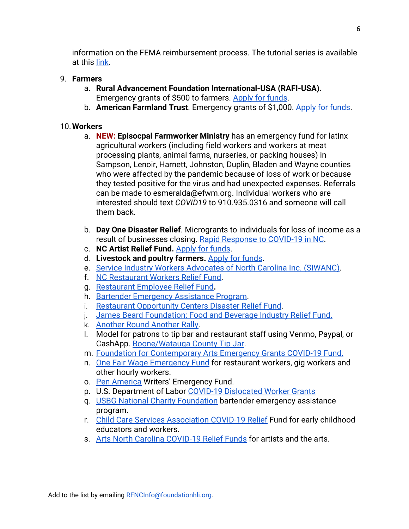information on the FEMA reimbursement process. The tutorial series is available at this [link.](https://vimeo.com/showcase/7066486)

### 9. **Farmers**

- a. **Rural Advancement Foundation International-USA (RAFI-USA).** Emergency grants of \$500 to farmers. [Apply for funds](https://docs.google.com/forms/d/e/1FAIpQLSdgLnv0kW_FyXAs62GHUxxdSoPjmjEf9Dqd3mV-QbU2DlECTA/viewform).
- b. **American Farmland Trust**. Emergency grants of \$1,000. [Apply for funds](https://farmland.org/farmer-relief-fund/).

### <span id="page-5-0"></span>10.**Workers**

- a. **NEW: Episocpal Farmworker Ministry** has an emergency fund for latinx agricultural workers (including field workers and workers at meat processing plants, animal farms, nurseries, or packing houses) in Sampson, Lenoir, Harnett, Johnston, Duplin, Bladen and Wayne counties who were affected by the pandemic because of loss of work or because they tested positive for the virus and had unexpected expenses. Referrals can be made to esmeralda@efwm.org. Individual workers who are interested should text *COVID19* to 910.935.0316 and someone will call them back.
- b. **Day One Disaster Relief**. Microgrants to individuals for loss of income as a result of businesses closing. [Rapid Response to COVID-19 in NC](https://www.gofundme.com/f/rapid-response-to-coronavirus-in-nc).
- c. **NC Artist Relief Fund.** [Apply for funds.](https://visualartexchange.wufoo.com/forms/r545x8q1supxwk/)
- d. **Livestock and poultry farmers.** [Apply for funds.](https://foodanimalconcernstrust.org/minigrants)
- e. [Service Industry Workers Advocates of North Carolina Inc. \(SIWANC\)](https://www.gofundme.com/f/creating-social-distance-the-triangle-nc).
- f. [NC Restaurant Workers Relief Fund.](https://www.ncrestaurantrelief.com/apply)
- g. [Restaurant Employee Relief Fund](https://rerf.us/)**.**
- h. [Bartender Emergency Assistance Program.](https://www.usbgfoundation.org/beap?fbclid=IwAR1qiX9mNONW1Go0ISAvxnB9aXOkUssyFzTwaxBUTZuc8iz23I-mR-heIOA)
- i. [Restaurant Opportunity Centers Disaster Relief Fund.](https://rocunited.org/relief/)
- j. [James Beard Foundation: Food and Beverage Industry Relief Fund.](https://805undocufund.org/aplicar/)
- k. [Another Round Another Rally](https://anotherroundanotherrally.org/).
- l. Model for patrons to tip bar and restaurant staff using Venmo, Paypal, or CashApp. [Boone/Watauga County Tip Jar](https://docs.google.com/spreadsheets/d/18-wnyUbAOQtcZssYuBZY1je9p3VzmVSS3-XV-LOhpug/edit?fbclid=IwAR2xJUKOQWx-STgzK_nIsk3hsL2QgOtFk1onUKeuLiraoj1LbdCyXURZWQw#gid=0).
- m. [Foundation for Contemporary Arts Emergency Grants COVID-19 Fund.](https://foundationforcontemporaryarts.submittable.com/submit/b9feb8b2-3b40-4a12-bee3-b0e71294d17f/fca-emergency-grants-covid-19-fund)
- n. [One Fair Wage Emergency Fund](https://ofwemergencyfund.org/) for restaurant workers, gig workers and other hourly workers.
- o. [Pen America](https://pen.org/writers-emergency-fund/) Writers' Emergency Fund.
- p. U.S. Department of Labor [COVID-19 Dislocated Worker Grants](https://www.dol.gov/agencies/eta/dislocated-workers/grants/covid-19)
- q. [USBG National Charity Foundation](https://www.usbgfoundation.org/beap) bartender emergency assistance program.
- r. [Child Care Services Association COVID-19 Relief](https://childcareservices.org/ccsa-covid-19-relief-fund/) Fund for early childhood educators and workers.
- s. [Arts North Carolina COVID-19 Relief Funds](https://artsnc.org/advocacy/covid-19-resources/artist-relief-funds/) for artists and the arts.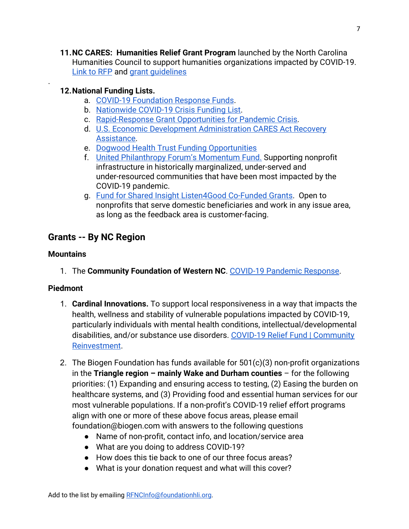**11.NC CARES: Humanities Relief Grant Program** launched by the North Carolina Humanities Councilto support humanities organizations impacted by COVID-19. [Link to RFP](http://www.nchumanities.org/content/nc-cares-humanities-relief-grants) and [grant guidelines](http://www.nchumanities.org/sites/default/files/documents/Grant%20Guidelines%202020%20NC%20CARES%20-%20Humanities%20Relief%20Grants_0.pdf)

### **12.National Funding Lists.**

- a. [COVID-19 Foundation Response Funds](https://docs.google.com/spreadsheets/d/e/2PACX-1vT3YOH_tCxOTw1P0ZTdVnnGdNsULENdaZ36mUnL8TwN8xzgjQ3oXFaL93YYgrNHOTamHB0Deagn3DGe/pubhtml).
- b. [Nationwide COVID-19 Crisis Funding List.](https://grantsplus.com/crisis-funding-resource/)
- c. [Rapid-Response Grant Opportunities for Pandemic Crisis.](https://www.philanthropy.com/article/Rapid-Response-Grant/248504/)
- d. [U.S. Economic Development Administration CARES Act Recovery](https://www.eda.gov/coronavirus/) [Assistance](https://www.eda.gov/coronavirus/).
- e. [Dogwood Health Trust Funding Opportunities](https://mcusercontent.com/3eb84bfd5788c17e64165acc8/files/dcee80c8-15be-41af-ba60-1a48dbbdc6c6/DHT_MayNewsletter_0520.01.pdf)
- f. [United Philanthropy Forum's Momentum Fund.](https://www.unitedphilforum.org/momentum-fund) Supporting nonprofit infrastructure in historically marginalized, under-served and under-resourced communities that have been most impacted by the COVID-19 pandemic.
- g. [Fund for Shared Insight Listen4Good Co-Funded Grants](https://www.fundforsharedinsight.org/listen4good/for-nonprofits/). Open to nonprofits that serve domestic beneficiaries and work in any issue area, as long as the feedback area is customer-facing.

## **Grants -- By NC Region**

### **Mountains**

.

1. The **Community Foundation of Western NC**. [COVID-19 Pandemic Response](https://cfwnc.org/initiatives/covid-19-pandemic-response).

### **Piedmont**

- 1. **Cardinal Innovations.** To support local responsiveness in a way that impacts the health, wellness and stability of vulnerable populations impacted by COVID-19, particularly individuals with mental health conditions, intellectual/developmental disabilities, and/or substance use disorders. [COVID-19 Relief Fund | Community](https://www.cardinalinnovations.org/About/Community-reinvestment) [Reinvestment.](https://www.cardinalinnovations.org/About/Community-reinvestment)
- 2. The Biogen Foundation has funds available for 501(c)(3) non-profit organizations in the **Triangle region – mainly Wake and Durham counties** – for the following priorities: (1) Expanding and ensuring access to testing, (2) Easing the burden on healthcare systems, and (3) Providing food and essential human services for our most vulnerable populations. If a non-profit's COVID-19 relief effort programs align with one or more of these above focus areas, please email foundation@biogen.com with answers to the following questions
	- Name of non-profit, contact info, and location/service area
	- What are you doing to address COVID-19?
	- How does this tie back to one of our three focus areas?
	- What is your donation request and what will this cover?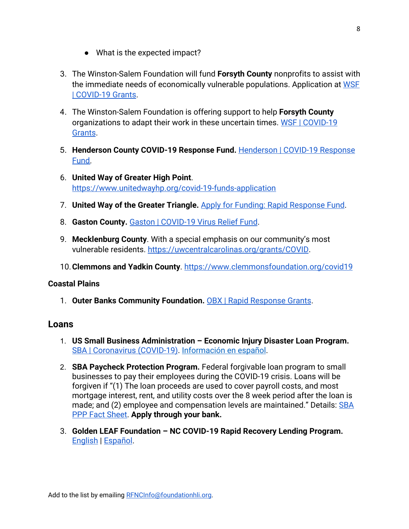- What is the expected impact?
- 3. The Winston-Salem Foundation will fund **Forsyth County** nonprofits to assist with the immediate needs of economically vulnerable populations. Application at [WSF](http://wsfoundation.org/covid-19-grants) [| COVID-19 Grants.](http://wsfoundation.org/covid-19-grants)
- 4. The Winston-Salem Foundation is offering support to help **Forsyth County** organizations to adapt their work in these uncertain times. [WSF | COVID-19](https://www.wsfoundation.org/covid-19-grants) [Grants](https://www.wsfoundation.org/covid-19-grants).
- 5. **Henderson County COVID-19 Response Fund.** [Henderson | COVID-19 Response](https://www.cfhcforever.org/henderson-county-covid-19-response-fund) [Fund.](https://www.cfhcforever.org/henderson-county-covid-19-response-fund)
- 6. **United Way of Greater High Point**. <https://www.unitedwayhp.org/covid-19-funds-application>
- 7. **United Way of the Greater Triangle.** [Apply for Funding: Rapid Response Fund](https://www.unitedwaytriangle.org/apply-for-funding-rapid-response-fund/).
- 8. **Gaston County.** [Gaston | COVID-19 Virus Relief Fund.](http://www.cfgaston.org/Receive/COVID-19VirusReliefFund.aspx)
- 9. **Mecklenburg County**. With a special emphasis on our community's most vulnerable residents.<https://uwcentralcarolinas.org/grants/COVID>.
- 10.**Clemmons and Yadkin County**.<https://www.clemmonsfoundation.org/covid19>

#### **Coastal Plains**

1. **Outer Banks Community Foundation.** [OBX | Rapid Response Grants](https://www.obcf.org/grants/rapid-response-grants/).

#### **Loans**

- 1. **US Small Business Administration Economic Injury Disaster Loan Program.** [SBA | Coronavirus \(COVID-19\)](https://www.sba.gov/disaster-assistance/coronavirus-covid-19). [Información en español](https://www.sba.gov/page/coronavirus-covid-19-orientacion-y-recursos-de-prestamos-para-pequenas-empresas).
- 2. **SBA Paycheck Protection Program.** Federal forgivable loan program to small businesses to pay their employees during the COVID-19 crisis. Loans will be forgiven if "(1) The loan proceeds are used to cover payroll costs, and most mortgage interest, rent, and utility costs over the 8 week period after the loan is made; and (2) employee and compensation levels are maintained." Details: [SBA](https://home.treasury.gov/system/files/136/PPP%20Borrower%20Information%20Fact%20Sheet.pdf) [PPP Fact Sheet](https://home.treasury.gov/system/files/136/PPP%20Borrower%20Information%20Fact%20Sheet.pdf). **Apply through your bank.**
- 3. **Golden LEAF Foundation NC COVID-19 Rapid Recovery Lending Program.** [English](https://ncrapidrecovery.org/) | [Español](https://espanol.threadcap.org/).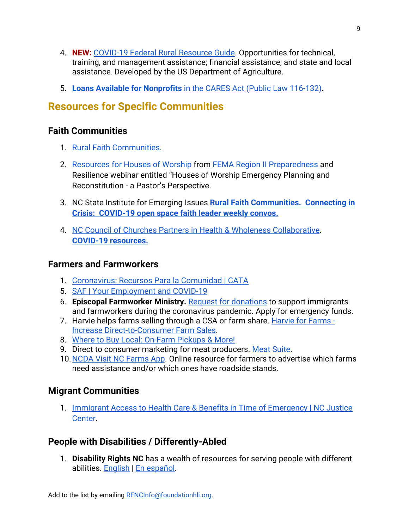- 4. **NEW:** [COVID-19 Federal Rural Resource Guide.](https://www.rd.usda.gov/sites/default/files/USDA_COVID-19_Fed_Rural_Resource_Guide.pdf) Opportunities for technical, training, and management assistance; financial assistance; and state and local assistance. Developed by the US Department of Agriculture.
- 5. **[Loans Available for Nonprofits](https://www.councilofnonprofits.org/trends-policy-issues/loans-available-nonprofits-the-cares-act-public-law-116-132)** [in the CARES Act \(Public Law 116-132\)](https://www.councilofnonprofits.org/trends-policy-issues/loans-available-nonprofits-the-cares-act-public-law-116-132)**.**

# <span id="page-8-1"></span>**Resources for Specific Communities**

## <span id="page-8-0"></span>**Faith Communities**

- 1. [Rural Faith Communities](https://iei.ncsu.edu/faith/).
- 2. [Resources for Houses of Worship](https://docs.google.com/document/d/1jmgXMdI-rklxeW_Nc_fwn1vNuOGox4eXX0ekjtxUj9s/edit?usp=sharing) from [FEMA Region II Preparedness](https://www.fema.gov/region-ii-national-preparedness) and Resilience webinar entitled "Houses of Worship Emergency Planning and Reconstitution - a Pastor's Perspective.
- 3. NC State Institute for Emerging Issues **[Rural Faith Communities. Connecting in](https://iei.ncsu.edu/faith/) [Crisis: COVID-19 open space faith leader weekly convos.](https://iei.ncsu.edu/faith/)**
- 4. [NC Council of Churches Partners in Health & Wholeness Collaborative](https://www.ncchurches.org/programs/phw/collaborative/). **[COVID-19 resources.](https://www.ncchurches.org/covid-19-resources/)**

## **Farmers and Farmworkers**

- 1. [Coronavirus: Recursos Para la Comunidad | CATA](https://cata-farmworkers.org/recursos-para-la-comunidad/)
- 5. [SAF | Your Employment and COVID-19](https://saf-unite.org/sites/default/files/know_your_rights_-_ui_covid_2020-_english.pdf)
- 6. **Episcopal Farmworker Ministry.** [Request for donations](https://drive.google.com/open?id=1DRHq64bmwQw3oBCWOnxnPuY-qHV9XPGy) to support immigrants and farmworkers during the coronavirus pandemic. Apply for emergency funds.
- 7. Harvie helps farms selling through a CSA or farm share. [Harvie for Farms -](https://www.harvie.farm/forfarmers/) [Increase Direct-to-Consumer Farm Sales](https://www.harvie.farm/forfarmers/).
- 8. [Where to Buy Local: On-Farm Pickups & More!](https://www.carolinafarmstewards.org/on-farm-pickups/)
- 9. Direct to consumer marketing for meat producers. [Meat Suite.](https://cefs.ncsu.edu/food-system-initiatives/nc-choices/meatsuite/)
- 10.[NCDA Visit NC Farms App](https://visitncfarmstoday.com/).Online resource for farmers to advertise which farms need assistance and/or which ones have roadside stands.

## **Migrant Communities**

1. [Immigrant Access to Health Care & Benefits in Time of Emergency | NC Justice](https://www.ncjustice.org/publications/immigrant-access-to-health-care-benefits-in-time-of-emergency/) [Center](https://www.ncjustice.org/publications/immigrant-access-to-health-care-benefits-in-time-of-emergency/).

## **People with Disabilities / Differently-Abled**

1. **Disability Rights NC** has a wealth of resources for serving people with different abilities. [English](https://disabilityrightsnc.org/updates-and-resources-on-covid-19-coronavirus/) | [En español.](https://disabilityrightsnc.org/actualizaciones-y-recursos)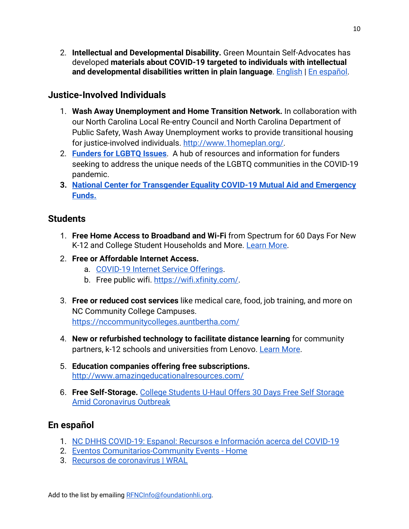2. **Intellectual and Developmental Disability.** Green Mountain Self-Advocates has developed **materials about COVID-19 targeted to individuals with intellectual and developmental disabilities written in plain language**. [English](https://selfadvocacyinfo.org/wp-content/uploads/2020/03/Plain-Language-Information-on-Coronavirus.pdf) | [En español](https://selfadvocacyinfo.org/wp-content/uploads/2020/03/Spanish-Plain-Language-Information-on-Coronavirus.pdf).

### **Justice-Involved Individuals**

- 1. **Wash Away Unemployment and Home Transition Network.** In collaboration with our North Carolina Local Re-entry Council and North Carolina Department of Public Safety, Wash Away Unemployment works to provide transitional housing for justice-involved individuals.<http://www.1homeplan.org/>.
- 2. **[Funders for LGBTQ Issues](https://lgbtfunders.org/covid-19-response/)**. A hub of resources and information for funders seeking to address the unique needs of the LGBTQ communities in the COVID-19 pandemic.
- **3. [National Center for Transgender Equality COVID-19 Mutual Aid and Emergency](https://transequality.org/covid19/mutual-aid-and-emergency-funds) [Funds.](https://transequality.org/covid19/mutual-aid-and-emergency-funds)**

## **Students**

- 1. **Free Home Access to Broadband and Wi-Fi** from Spectrum for 60 Days For New K-12 and College Student Households and More. [Learn More.](https://corporate.charter.com/newsroom/charter-to-offer-free-access-to-spectrum-broadband-and-wifi-for-60-days-for-new-K12-and-college-student-households-and-more)
- 2. **Free or Affordable Internet Access.**
	- a. [COVID-19 Internet Service Offerings](https://www.ncbroadband.gov/covid19broadband/).
	- b. Free public wifi. [https://wifi.xfinity.com/.](https://wifi.xfinity.com/)
- 3. **Free or reduced cost services** like medical care, food, job training, and more on NC Community College Campuses. <https://nccommunitycolleges.auntbertha.com/>
- 4. **New or refurbished technology to facilitate distance learning** for community partners, k-12 schools and universities from Lenovo. [Learn More](https://www.surveymonkey.com/r/8LBJB8G).
- 5. **Education companies offering free subscriptions.** <http://www.amazingeducationalresources.com/>
- 6. **Free Self-Storage.** [College Students U-Haul Offers 30 Days Free Self Storage](https://www.uhaul.com/Articles/About/20625/College-Students-U-Haul-Offers-30-Days-Free-Self-Storage-Amid-Coronavirus-Outbreak/) [Amid Coronavirus Outbreak](https://www.uhaul.com/Articles/About/20625/College-Students-U-Haul-Offers-30-Days-Free-Self-Storage-Amid-Coronavirus-Outbreak/)

## **En español**

- 1. [NC DHHS COVID-19: Espanol: Recursos e Información acerca del COVID-19](https://covid19.ncdhhs.gov/materials-resources/espanol-recursos-e-informaci%C3%B3n-acerca-del-covid-19)
- 2. [Eventos Comunitarios-Community Events Home](https://www.facebook.com/AmexcanEventosComunitarios/)
- 3. [Recursos de coronavirus | WRAL](https://www.wral.com/recursos-de-coronavirus/19056650/)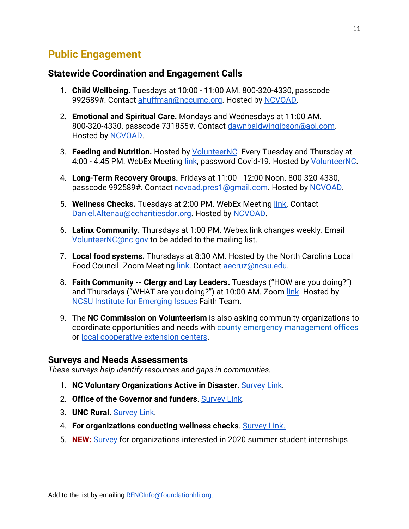# <span id="page-10-0"></span>**Public Engagement**

### **Statewide Coordination and Engagement Calls**

- 1. **Child Wellbeing.** Tuesdays at 10:00 11:00 AM. 800-320-4330, passcode 992589#. Contact [ahuffman@nccumc.org.](mailto:ahuffman@nccumc.org) Hosted by [NCVOAD.](http://ncvoad.org/)
- 2. **Emotional and Spiritual Care.** Mondays and Wednesdays at 11:00 AM. 800-320-4330, passcode 731855#. Contact [dawnbaldwingibson@aol.com](mailto:dawnbaldwingibson@aol.com). Hosted by **NCVOAD**.
- 3. **Feeding and Nutrition.** Hosted by [VolunteerNC](https://www.nc.gov/volunteer) Every Tuesday and Thursday at 4:00 - 4:45 PM. WebEx Meeting [link,](https://ncgov.webex.com/ncgov/j.php?MTID=m9626a26ab27d47cca331d488d09b76f4) password Covid-19. Hosted by *[VolunteerNC](https://www.nc.gov/volunteer)*.
- 4. **Long-Term Recovery Groups.** Fridays at 11:00 12:00 Noon. 800-320-4330, passcode 992589#. Contact [ncvoad.pres1@gmail.com.](mailto:ncvoad.pres1@gmail.com) Hosted by [NCVOAD](http://ncvoad.org/).
- 5. **Wellness Checks.** Tuesdays at 2:00 PM. WebEx Meeting [link.](https://ncgov.webex.com/webappng/sites/ncgov/meeting/download/b21e6f679b244e328364ddc02f9f042a?siteurl=ncgov&MTID=m822744597e5cba318e82ac92287b3329) Contact [Daniel.Altenau@ccharitiesdor.org](mailto:Daniel.Altenau@ccharitiesdor.org). Hosted by [NCVOAD.](http://ncvoad.org/)
- 6. **Latinx Community.** Thursdays at 1:00 PM. Webex link changes weekly. Email [VolunteerNC@nc.gov](mailto:VolunteerNC@nc.gov) to be added to the mailing list.
- 7. **Local food systems.** Thursdays at 8:30 AM. Hosted by the North Carolina Local Food Council. Zoom Meeting [link.](https://ncsu.zoom.us/j/209611614) Contact [aecruz@ncsu.edu.](mailto:aecruz@ncsu.edu)
- 8. **Faith Community -- Clergy and Lay Leaders.** Tuesdays ("HOW are you doing?") and Thursdays ("WHAT are you doing?") at 10:00 AM. Zoom [link.](https://ncsu.zoom.us/j/600811132) Hosted by [NCSU Institute for Emerging Issues](https://iei.ncsu.edu/faith/) Faith Team.
- 9. The **NC Commission on Volunteerism** is also asking community organizations to coordinate opportunities and needs with [county emergency management offices](https://www.ncdps.gov/emergency-management/em-community/directories/counties) or [local cooperative extension centers](https://www.ces.ncsu.edu/local-county-center/).

### **Surveys and Needs Assessments**

*These surveys help identify resources and gaps in communities.*

- 1. **NC Voluntary Organizations Active in Disaster**. [Survey Link](https://docs.google.com/forms/d/e/1FAIpQLScZNs5ekY6AFUmhpdYGCiOQ0a1uRYHBgeZI_3VVcmDcgAC0LA/viewform).
- 2. **Office of the Governor and funders**. [Survey Link](https://www.surveymonkey.com/r/ZY88SF5).
- 3. **UNC Rural.** [Survey Link.](https://unc.az1.qualtrics.com/jfe/form/SV_6QjTAumH42gL7VP)
- 4. **For organizations conducting wellness checks**. [Survey Link](https://docs.google.com/forms/d/e/1FAIpQLSfBvObZH2z0knj60nz7oh1duioe7PfNYLuiB4hDTrSQ1rvIeg/viewform).
- 5. **NEW:** [Survey](https://unc.az1.qualtrics.com/jfe/form/SV_5v7UM0A024iWzNH) for organizations interested in 2020 summer student internships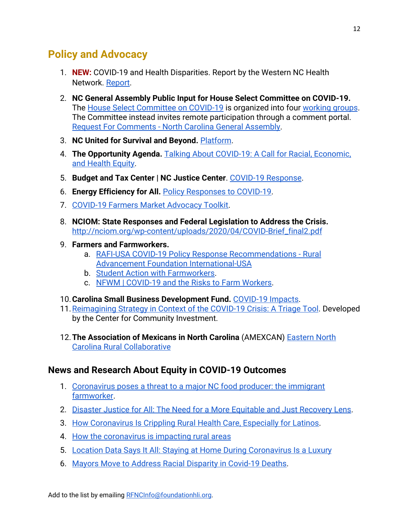# <span id="page-11-0"></span>**Policy and Advocacy**

- 1. **NEW:** COVID-19 and Health Disparities. Report by the Western NC Health Network. [Report](https://www.wnchn.org/wp-content/uploads/2020/05/COVID-19-and-Health-Disparities-Report_5.13.20.pdf?x41878).
- 2. **NC General Assembly Public Input for House Select Committee on COVID-19.** The [House Select Committee on COVID-19](https://drive.google.com/open?id=1vK_kMXn4m-zik0nyOB4KcCnwgrh5J9XU) is organized into four [working groups.](https://www.ncleg.gov/Files/Committees/2019/House/COVID-19/WorkingGroups.pdf) The Committee instead invites remote participation through a comment portal. [Request For Comments - North Carolina General Assembly.](https://www.ncleg.gov/RequestForComments/33)
- 3. **NC United for Survival and Beyond.** [Platform](https://survivalandbeyond.info/).
- 4. **The Opportunity Agenda.** [Talking About COVID-19: A Call for Racial, Economic,](https://www.opportunityagenda.org/explore/insights/talking-about-covid-19-call-racial-economic-and-health-equity) [and Health Equity.](https://www.opportunityagenda.org/explore/insights/talking-about-covid-19-call-racial-economic-and-health-equity)
- 5. **Budget and Tax Center | NC Justice Center**. [COVID-19 Response.](https://www.ncjustice.org/covid-19-response/)
- 6. **Energy Efficiency for All.** [Policy Responses to COVID-19](https://www.energyefficiencyforall.org/covid-19/).
- 7. [COVID-19 Farmers Market Advocacy Toolkit.](https://docs.google.com/document/d/1lV34JQ58fhtwioBYJ9TJx7MvrO6t8a39homfEYYYFh0/edit#heading=h.9jyytftyr1r0)
- 8. **NCIOM: State Responses and Federal Legislation to Address the Crisis.** [http://nciom.org/wp-content/uploads/2020/04/COVID-Brief\\_final2.pdf](http://nciom.org/wp-content/uploads/2020/04/COVID-Brief_final2.pdf)
- 9. **Farmers and Farmworkers.**
	- a. [RAFI-USA COVID-19 Policy Response Recommendations Rural](https://www.rafiusa.org/blog/rafi-usa-covid-19-federal-response-recommendations/) [Advancement Foundation International-USA](https://www.rafiusa.org/blog/rafi-usa-covid-19-federal-response-recommendations/)
	- b. [Student Action with Farmworkers.](https://www.saf-unite.org/)
	- c. [NFWM | COVID-19 and the Risks to Farm Workers.](http://nfwm.org/current-campaigns/statement-on-covid-19-and-the-risks-to-farmworkers/)
- 10.**Carolina Small Business Development Fund.** [COVID-19 Impacts](http://carolinasmallbusiness.org/wp-content/uploads/2020/04/COVID-19-NC-Small-Business-Impacts-Report.pdf).
- 11.[Reimagining Strategy in Context of the COVID-19 Crisis: A Triage Tool](https://centerforcommunityinvestment.org/blog/reimagining-strategy-context-covid-19-crisis-triage-tool). Developed by the Center for Community Investment.
- 12.**The Association of Mexicans in North Carolina** (AMEXCAN) [Eastern North](https://docs.google.com/forms/d/e/1FAIpQLSfn0LaJMEeDHYEjUEyzVYPPGXrtNkJ3DTNELj3rB7bsHqciww/viewform) [Carolina Rural Collaborative](https://docs.google.com/forms/d/e/1FAIpQLSfn0LaJMEeDHYEjUEyzVYPPGXrtNkJ3DTNELj3rB7bsHqciww/viewform)

## **News and Research About Equity in COVID-19 Outcomes**

- 1. [Coronavirus poses a threat to a major NC food producer: the immigrant](https://www.newsobserver.com/news/coronavirus/article241444926.html) [farmworker.](https://www.newsobserver.com/news/coronavirus/article241444926.html)
- 2. [Disaster Justice for All: The Need for a More Equitable and Just Recovery Lens.](https://hazards.colorado.edu/news/research-counts/disaster-justice-for-all-the-need-for-a-more-equitable-and-just-recovery-lens)
- 3. [How Coronavirus Is Crippling Rural Health Care, Especially for Latinos.](https://salud-america.org/coronavirus-is-crippling-rural-health-care-for-latinos/)
- 4. [How the coronavirus is impacting rural areas](https://www.youtube.com/watch?v=uqGXzWCD9Xk)
- 5. [Location Data Says It All: Staying at Home During Coronavirus Is a Luxury](https://www.nytimes.com/interactive/2020/04/03/us/coronavirus-stay-home-rich-poor.html)
- 6. [Mayors Move to Address Racial Disparity in Covid-19 Deaths](https://www.wsj.com/articles/black-hispanic-new-yorkers-account-for-disproportionate-number-of-coronavirus-deaths-11586359447).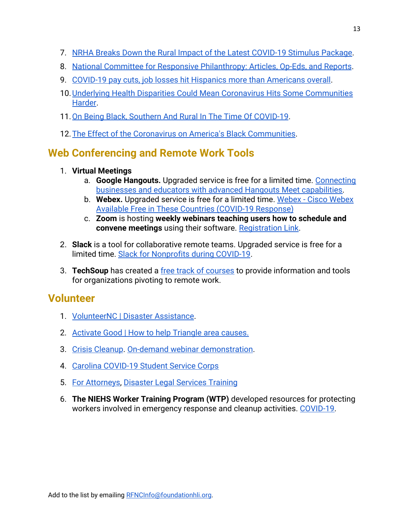- 7. [NRHA Breaks Down the Rural Impact of the Latest COVID-19 Stimulus Package](https://www.ruralhealthweb.org/blogs/ruralhealthvoices/march-2020/nrha-breaks-down-rural-covid-19-stimulus-impact).
- 8. [National Committee for Responsive Philanthropy: Articles, Op-Eds, and Reports](https://www.ncrp.org/blog/covid-19/covid-19-resources#1584758852668-bd936860-41a3).
- 9. [COVID-19 pay cuts, job losses hit Hispanics more than Americans overall](https://www.pewresearch.org/fact-tank/2020/04/03/u-s-latinos-among-hardest-hit-by-pay-cuts-job-losses-due-to-coronavirus/).
- 10.[Underlying Health Disparities Could Mean Coronavirus Hits Some Communities](https://www.npr.org/sections/health-shots/2020/04/01/824874977/underlying-health-disparities-could-mean-coronavirus-hits-some-communities-harde) [Harder](https://www.npr.org/sections/health-shots/2020/04/01/824874977/underlying-health-disparities-could-mean-coronavirus-hits-some-communities-harde).
- 11.[On Being Black, Southern And Rural In The Time Of COVID-19](https://www.essence.com/feature/black-southern-rural-covid-19-coronavirus/).
- 12.[The Effect of the Coronavirus on America's Black Communities](https://www.newyorker.com/news/our-columnists/the-black-plague).

# <span id="page-12-0"></span>**Web Conferencing and Remote Work Tools**

### 1. **Virtual Meetings**

- a. **Google Hangouts.** Upgraded service is free for a limited time. [Connecting](https://cloud.google.com/blog/products/g-suite/helping-businesses-and-schools-stay-connected-in-response-to-coronavirus) [businesses and educators with advanced Hangouts Meet capabilities.](https://cloud.google.com/blog/products/g-suite/helping-businesses-and-schools-stay-connected-in-response-to-coronavirus)
- b. **Webex.** Upgraded service is free for a limited time.[Webex Cisco Webex](https://help.webex.com/en-us/n80v1rcb/Cisco-Webex-Available-Free-in-These-Countries-COVID-19-Response) [Available Free in These Countries \(COVID-19 Response\)](https://help.webex.com/en-us/n80v1rcb/Cisco-Webex-Available-Free-in-These-Countries-COVID-19-Response)
- c. **Zoom** is hosting **weekly webinars teaching users how to schedule and convene meetings** using their software. [Registration Link](https://zoom.us/webinar/register/weeklylivedemo?id=1805&zcid=1609).
- 2. **Slack** is a tool for collaborative remote teams. Upgraded service is free for a limited time. [Slack for Nonprofits during COVID-19](https://slack.com/help/articles/360045240813-Slack-for-Nonprofits-during-COVID-19).
- 3. **TechSoup** has created a [free track of courses](https://www.ruralhealthweb.org/programs/resources/covid-19-resources) to provide information and tools for organizations pivoting to remote work.

# <span id="page-12-1"></span>**Volunteer**

- 1. [VolunteerNC | Disaster Assistance](https://www.nc.gov/agencies/volunteer/disaster-assistance).
- 2. [Activate Good | How to help Triangle area causes.](https://activategood.org/covid19/)
- 3. [Crisis Cleanup](https://www.crisiscleanup.org/). [On-demand webinar demonstration.](https://docs.google.com/forms/d/e/1FAIpQLSd-OYs6dZFwHQFDcYW3aRjya9c5j-Lg2nvG-OpQlWZPRU6ufQ/viewform?vc=0&c=0&w=1)
- 4. [Carolina COVID-19 Student Service Corps](http://go.unc.edu/ipep-cssc)
- 5. [For Attorneys,](https://ncprobono.org/disaster/) [Disaster Legal Services Training](https://ncprobono.org/resource/disaster-legal-services-bootcamp/)
- 6. **The NIEHS Worker Training Program (WTP)** developed resources for protecting workers involved in emergency response and cleanup activities. [COVID-19.](https://tools.niehs.nih.gov/wetp/index.cfm?id=2591)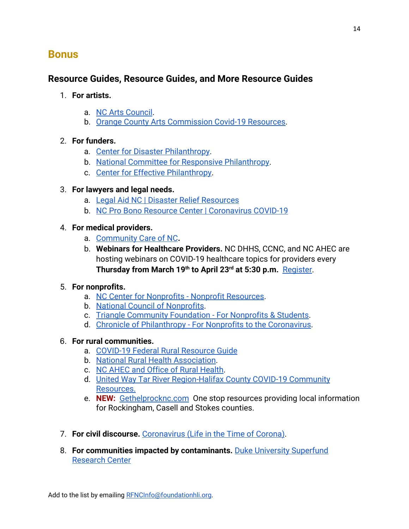## <span id="page-13-0"></span>**Bonus**

## **Resource Guides, Resource Guides, and More Resource Guides**

- 1. **For artists.**
	- a. [NC Arts Council](https://files.nc.gov/ncarts/covid-19_content_resources_guide_for_artists.pdf).
	- b. [Orange County Arts Commission Covid-19 Resources.](https://artsorange.org/covid-19/covid19-resources/)

### 2. **For funders.**

- a. [Center for Disaster Philanthropy](https://disasterphilanthropy.org/blog/diseases/covid-19-approaches-for-funders).
- b. [National Committee for Responsive Philanthropy.](https://www.ncrp.org/blog/covid-19)
- c. [Center for Effective Philanthropy.](https://cep.org/joint-pso-statement/)

### 3. **For lawyers and legal needs.**

- a. [Legal Aid NC | Disaster Relief Resources](https://ncprobono.org/disaster/)
- b. [NC Pro Bono Resource Center | Coronavirus COVID-19](http://www.legalaidnc.org/get-help/self-help-library/disaster-relief/coronavirus-covid-19)

#### 4. **For medical providers.**

- a. [Community Care of NC](https://www.communitycarenc.org/newsroom/coronavirus-covid-19-information)**.**
- b. **Webinars for Healthcare Providers.** NC DHHS, CCNC, and NC AHEC are hosting webinars on COVID-19 healthcare topics for providers every **Thursday from March 19th to April 23rd at 5:30 p.m.**  [Register](https://zoom.us/webinar/register/WN_-B1t8DJXRoOfmZOrOR5LEw).

#### 5. **For nonprofits.**

- a. [NC Center for Nonprofits Nonprofit Resources](https://www.ncnonprofits.org/resources/pandemicresources).
- b. [National Council of Nonprofits](https://www.councilofnonprofits.org/nonprofits-and-coronavirus-covid-19).
- c. [Triangle Community Foundation For Nonprofits & Students.](https://trianglecf.org/giving/disaster-relief/covid-19-response-resources-for-nonprofits-students/)
- d. [Chronicle of Philanthropy For Nonprofits to the Coronavirus.](https://www.philanthropy.com/article/Responding-to-the-Coronavirus/248231?cid=cpw_rnt&utm_campaign=NPcovid19&utm_content=122957084&utm_medium=social&utm_source=twitter&hss_channel=tw-9481992)

#### 6. **For rural communities.**

- a. [COVID-19 Federal Rural Resource Guide](https://www.rd.usda.gov/sites/default/files/USDA_COVID-19_Fed_Rural_Resource_Guide.pdf)
- b. [National Rural Health Association](https://www.ruralhealthweb.org/programs/resources/covid-19-resources).
- c. [NC AHEC and Office of Rural Health](https://www.ncahec.net/covid-19/webinars/).
- d. [United Way Tar River Region-Halifax County COVID-19 Community](https://docs.google.com/document/d/1uZybnWmFqiYvKed0WHo4Lr7Ohg_UxlVF-OyG9TK8XfQ/edit?usp=sharing) [Resources.](https://docs.google.com/document/d/1uZybnWmFqiYvKed0WHo4Lr7Ohg_UxlVF-OyG9TK8XfQ/edit?usp=sharing)
- e. **NEW:** [Gethelprocknc.com](https://gethelprocknc.com/) One stop resources providing local information for Rockingham, Casell and Stokes counties.
- 7. **For civil discourse.** [Coronavirus \(Life in the Time of Corona\)](https://www.livingroomconversations.org/topics/coronavirus-life-in-the-time-of-corona/).
- 8. **For communities impacted by contaminants.** [Duke University Superfund](https://sites.nicholas.duke.edu/superfund/community-engagement-in-the-time-of-covid-19) [Research Center](https://sites.nicholas.duke.edu/superfund/community-engagement-in-the-time-of-covid-19)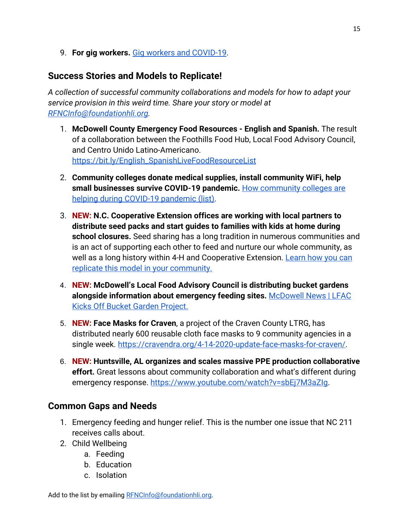9. **For gig workers.** [Gig workers and COVID-19](https://gigworkersrising.org/get-informed/covid19-resources/).

## **Success Stories and Models to Replicate!**

*A collection of successful community collaborations and models for how to adapt your service provision in this weird time. Share your story or model at [RFNCInfo@foundationhli.org](mailto:RFNCInfo@foundationhli.org).*

- 1. **McDowell County Emergency Food Resources English and Spanish.** The result of a collaboration between the Foothills Food Hub, Local Food Advisory Council, and Centro Unido Latino-Americano. [https://bit.ly/English\\_SpanishLiveFoodResourceList](https://bit.ly/English_SpanishLiveFoodResourceList)
- 2. **Community colleges donate medical supplies, install community WiFi, help small businesses survive COVID-19 pandemic.** [How community colleges are](https://www.nccommunitycolleges.edu/news-center/news/how-community-colleges-are-helping-during-covid-19-pandemic-list) [helping during COVID-19 pandemic \(list\)](https://www.nccommunitycolleges.edu/news-center/news/how-community-colleges-are-helping-during-covid-19-pandemic-list).
- 3. **NEW: N.C. Cooperative Extension offices are working with local partners to distribute seed packs and start guides to families with kids at home during school closures.** Seed sharing has a long tradition in numerous communities and is an act of supporting each other to feed and nurture our whole community, as well as a long history within 4-H and Cooperative Extension. [Learn how you can](https://localfood.ces.ncsu.edu/local-food-farm-to-school/covidseedsharing/) [replicate this model in your community.](https://localfood.ces.ncsu.edu/local-food-farm-to-school/covidseedsharing/)
- 4. **NEW: McDowell's Local Food Advisory Council is distributing bucket gardens alongside information about emergency feeding sites.** [McDowell News | LFAC](https://www.mcdowellnews.com/news/mcdowell-lfac-kicks-off-bucket-garden-project/article_59825171-7c99-5255-9c1e-a1b335b5dec7.html) [Kicks Off Bucket Garden Project](https://www.mcdowellnews.com/news/mcdowell-lfac-kicks-off-bucket-garden-project/article_59825171-7c99-5255-9c1e-a1b335b5dec7.html).
- 5. **NEW: Face Masks for Craven**, a project of the Craven County LTRG, has distributed nearly 600 reusable cloth face masks to 9 community agencies in a single week. [https://cravendra.org/4-14-2020-update-face-masks-for-craven/.](https://cravendra.org/4-14-2020-update-face-masks-for-craven/)
- 6. **NEW: Huntsville, AL organizes and scales massive PPE production collaborative effort.** Great lessons about community collaboration and what's different during emergency response. [https://www.youtube.com/watch?v=sbEj7M3aZIg.](https://www.youtube.com/watch?v=sbEj7M3aZIg)

## **Common Gaps and Needs**

- 1. Emergency feeding and hunger relief. This is the number one issue that NC 211 receives calls about.
- 2. Child Wellbeing
	- a. Feeding
	- b. Education
	- c. Isolation